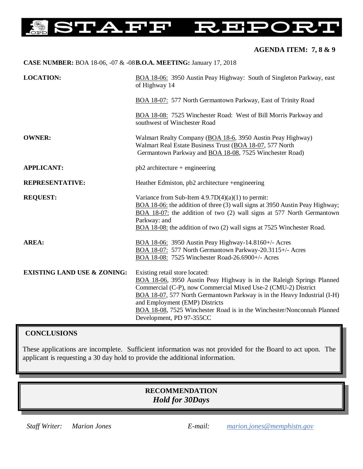### **STAFF OHES** コー IJĘ

# **AGENDA ITEM: 7, 8 & 9**

| CASE NUMBER: BOA 18-06, -07 & -08B.O.A. MEETING: January 17, 2018 |                                                                                                                                                                                                                                                                                                                                                                                              |
|-------------------------------------------------------------------|----------------------------------------------------------------------------------------------------------------------------------------------------------------------------------------------------------------------------------------------------------------------------------------------------------------------------------------------------------------------------------------------|
| <b>LOCATION:</b>                                                  | BOA 18-06: 3950 Austin Peay Highway: South of Singleton Parkway, east<br>of Highway 14                                                                                                                                                                                                                                                                                                       |
|                                                                   | BOA 18-07: 577 North Germantown Parkway, East of Trinity Road                                                                                                                                                                                                                                                                                                                                |
|                                                                   | BOA 18-08: 7525 Winchester Road: West of Bill Morris Parkway and<br>southwest of Winchester Road                                                                                                                                                                                                                                                                                             |
| <b>OWNER:</b>                                                     | Walmart Realty Company (BOA 18-6, 3950 Austin Peay Highway)<br>Walmart Real Estate Business Trust (BOA 18-07, 577 North<br>Germantown Parkway and BOA 18-08, 7525 Winchester Road)                                                                                                                                                                                                           |
| <b>APPLICANT:</b>                                                 | $pb2$ architecture + engineering                                                                                                                                                                                                                                                                                                                                                             |
| <b>REPRESENTATIVE:</b>                                            | Heather Edmiston, pb2 architecture +engineering                                                                                                                                                                                                                                                                                                                                              |
| <b>REQUEST:</b>                                                   | Variance from Sub-Item $4.9.7D(4)(a)(1)$ to permit:<br>BOA 18-06: the addition of three (3) wall signs at 3950 Austin Peay Highway;<br>BOA 18-07: the addition of two (2) wall signs at 577 North Germantown<br>Parkway: and<br>BOA 18-08: the addition of two (2) wall signs at 7525 Winchester Road.                                                                                       |
| <b>AREA:</b>                                                      | BOA 18-06: 3950 Austin Peay Highway-14.8160+/- Acres<br>BOA 18-07: 577 North Germantown Parkway-20.3115+/- Acres<br>BOA 18-08: 7525 Winchester Road-26.6900+/- Acres                                                                                                                                                                                                                         |
| <b>EXISTING LAND USE &amp; ZONING:</b>                            | Existing retail store located:<br>BOA 18-06, 3950 Austin Peay Highway is in the Raleigh Springs Planned<br>Commercial (C-P), now Commercial Mixed Use-2 (CMU-2) District<br>BOA 18-07, 577 North Germantown Parkway is in the Heavy Industrial (I-H)<br>and Employment (EMP) Districts<br>BOA 18-08, 7525 Winchester Road is in the Winchester/Nonconnah Planned<br>Development, PD 97-355CC |

# **CONCLUSIONS**

These applications are incomplete. Sufficient information was not provided for the Board to act upon. The applicant is requesting a 30 day hold to provide the additional information.

# **RECOMMENDATION** *Hold for 30Days*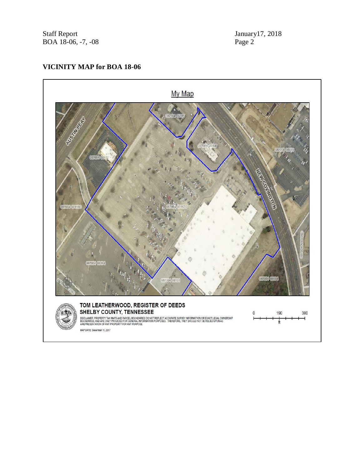Staff Report January 17, 2018 BOA 18-06, -7, -08 Page 2

# **VICINITY MAP for BOA 18-06**